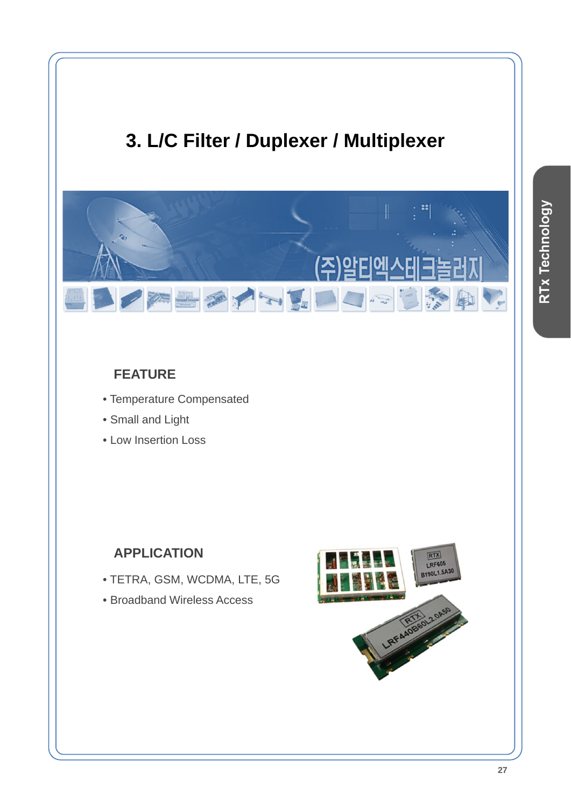# **3. L/C Filter / Duplexer / Multiplexer**



### **FEATURE**

- Temperature Compensated
- Small and Light
- Low Insertion Loss

#### **APPLICATION**

- TETRA, GSM, WCDMA, LTE, 5G
- Broadband Wireless Access

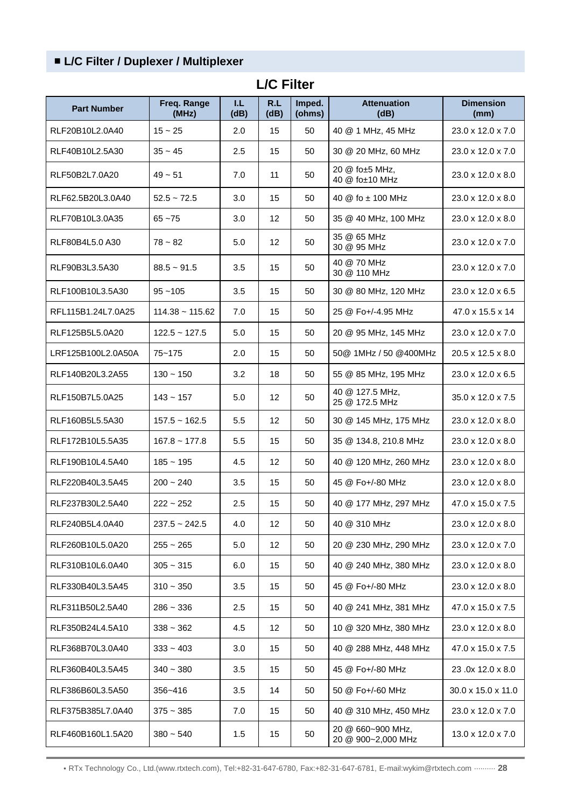#### ■ **L/C Filter / Duplexer / Multiplexer**

| <b>Part Number</b> | Freq. Range<br>(MHz) | T.L.<br>(dB) | R.L<br>(dB)     | Imped.<br>(ohms) | <b>Attenuation</b><br>(dB)              | <b>Dimension</b><br>(mm)      |
|--------------------|----------------------|--------------|-----------------|------------------|-----------------------------------------|-------------------------------|
| RLF20B10L2.0A40    | $15 - 25$            | 2.0          | 15              | 50               | 40 @ 1 MHz, 45 MHz                      | $23.0 \times 12.0 \times 7.0$ |
| RLF40B10L2.5A30    | $35 - 45$            | 2.5          | 15              | 50               | 30 @ 20 MHz, 60 MHz                     | 23.0 x 12.0 x 7.0             |
| RLF50B2L7.0A20     | $49 - 51$            | 7.0          | 11              | 50               | 20 @ fo±5 MHz,<br>40 @ fo±10 MHz        | $23.0 \times 12.0 \times 8.0$ |
| RLF62.5B20L3.0A40  | $52.5 - 72.5$        | 3.0          | 15              | 50               | 40 $@$ fo $±$ 100 MHz                   | $23.0 \times 12.0 \times 8.0$ |
| RLF70B10L3.0A35    | $65 - 75$            | 3.0          | 12              | 50               | 35 @ 40 MHz, 100 MHz                    | 23.0 x 12.0 x 8.0             |
| RLF80B4L5.0 A30    | $78 - 82$            | 5.0          | 12              | 50               | 35 @ 65 MHz<br>30 @ 95 MHz              | 23.0 x 12.0 x 7.0             |
| RLF90B3L3.5A30     | $88.5 - 91.5$        | 3.5          | 15              | 50               | 40 @ 70 MHz<br>30 @ 110 MHz             | 23.0 x 12.0 x 7.0             |
| RLF100B10L3.5A30   | $95 - 105$           | 3.5          | 15              | 50               | 30 @ 80 MHz, 120 MHz                    | 23.0 x 12.0 x 6.5             |
| RFL115B1.24L7.0A25 | $114.38 - 115.62$    | 7.0          | 15              | 50               | 25 @ Fo+/-4.95 MHz                      | 47.0 x 15.5 x 14              |
| RLF125B5L5.0A20    | $122.5 - 127.5$      | 5.0          | 15              | 50               | 20 @ 95 MHz, 145 MHz                    | 23.0 x 12.0 x 7.0             |
| LRF125B100L2.0A50A | $75 - 175$           | 2.0          | 15              | 50               | 50@ 1MHz / 50 @400MHz                   | 20.5 x 12.5 x 8.0             |
| RLF140B20L3.2A55   | $130 - 150$          | 3.2          | 18              | 50               | 55 @ 85 MHz, 195 MHz                    | 23.0 x 12.0 x 6.5             |
| RLF150B7L5.0A25    | $143 - 157$          | 5.0          | 12              | 50               | 40 @ 127.5 MHz,<br>25 @ 172.5 MHz       | $35.0 \times 12.0 \times 7.5$ |
| RLF160B5L5.5A30    | $157.5 - 162.5$      | 5.5          | 12              | 50               | 30 @ 145 MHz, 175 MHz                   | 23.0 x 12.0 x 8.0             |
| RLF172B10L5.5A35   | $167.8 - 177.8$      | 5.5          | 15              | 50               | 35 @ 134.8, 210.8 MHz                   | 23.0 x 12.0 x 8.0             |
| RLF190B10L4.5A40   | $185 - 195$          | 4.5          | 12              | 50               | 40 @ 120 MHz, 260 MHz                   | 23.0 x 12.0 x 8.0             |
| RLF220B40L3.5A45   | $200 - 240$          | 3.5          | 15              | 50               | 45 @ Fo+/-80 MHz                        | 23.0 x 12.0 x 8.0             |
| RLF237B30L2.5A40   | $222 - 252$          | 2.5          | 15              | 50               | 40 @ 177 MHz, 297 MHz                   | 47.0 x 15.0 x 7.5             |
| RLF240B5L4.0A40    | $237.5 - 242.5$      | 4.0          | 12              | 50               | 40 @ 310 MHz                            | 23.0 x 12.0 x 8.0             |
| RLF260B10L5.0A20   | $255 - 265$          | 5.0          | 12 <sup>2</sup> | 50               | 20 @ 230 MHz, 290 MHz                   | 23.0 x 12.0 x 7.0             |
| RLF310B10L6.0A40   | $305 - 315$          | 6.0          | 15              | 50               | 40 @ 240 MHz, 380 MHz                   | 23.0 x 12.0 x 8.0             |
| RLF330B40L3.5A45   | $310 - 350$          | 3.5          | 15              | 50               | 45 @ Fo+/-80 MHz                        | 23.0 x 12.0 x 8.0             |
| RLF311B50L2.5A40   | $286 - 336$          | 2.5          | 15              | 50               | 40 @ 241 MHz, 381 MHz                   | 47.0 x 15.0 x 7.5             |
| RLF350B24L4.5A10   | $338 - 362$          | 4.5          | 12              | 50               | 10 @ 320 MHz, 380 MHz                   | 23.0 x 12.0 x 8.0             |
| RLF368B70L3.0A40   | $333 - 403$          | 3.0          | 15              | 50               | 40 @ 288 MHz, 448 MHz                   | 47.0 x 15.0 x 7.5             |
| RLF360B40L3.5A45   | $340 - 380$          | 3.5          | 15              | 50               | 45 @ Fo+/-80 MHz                        | 23.0x 12.0 x 8.0              |
| RLF386B60L3.5A50   | 356~416              | 3.5          | 14              | 50               | 50 @ Fo+/-60 MHz                        | 30.0 x 15.0 x 11.0            |
| RLF375B385L7.0A40  | $375 - 385$          | 7.0          | 15              | 50               | 40 @ 310 MHz, 450 MHz                   | 23.0 x 12.0 x 7.0             |
| RLF460B160L1.5A20  | $380 - 540$          | 1.5          | 15              | 50               | 20 @ 660~900 MHz,<br>20 @ 900~2,000 MHz | 13.0 x 12.0 x 7.0             |

#### **L/C Filter**

• RTx Technology Co., Ltd.(www.rtxtech.com), Tel:+82-31-647-6780, Fax:+82-31-647-6781, E-mail:wykim@rtxtech.com ·········· **28**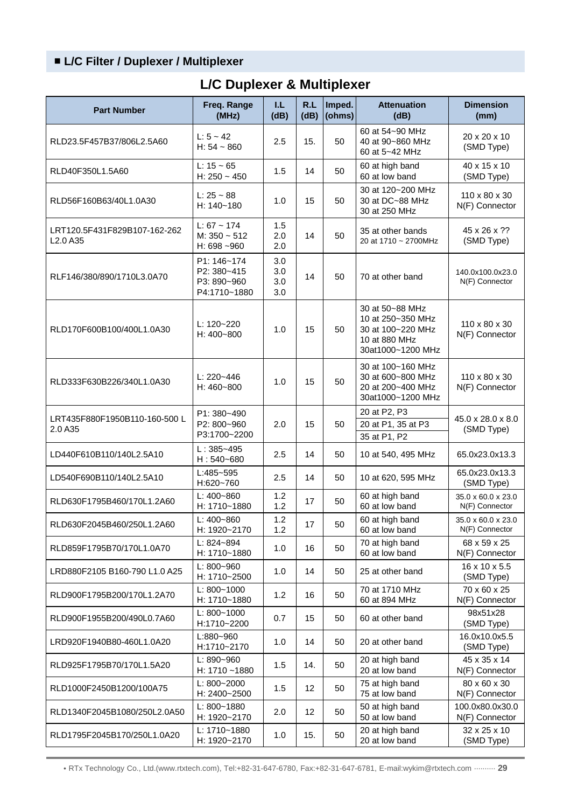#### ■ **L/C Filter / Duplexer / Multiplexer**

| <b>Part Number</b>                                               | Freq. Range<br>(MHz)                                      | IJ.<br>(dB)              | R.L<br>(dB)     | Imped.<br>(ohms) | <b>Attenuation</b><br>(dB)                                                                      | <b>Dimension</b><br>(mm)                    |
|------------------------------------------------------------------|-----------------------------------------------------------|--------------------------|-----------------|------------------|-------------------------------------------------------------------------------------------------|---------------------------------------------|
| RLD23.5F457B37/806L2.5A60                                        | $L: 5 - 42$<br>$H: 54 - 860$                              | 2.5                      | 15.             | 50               | 60 at 54~90 MHz<br>40 at 90~860 MHz<br>60 at 5~42 MHz                                           | 20 x 20 x 10<br>(SMD Type)                  |
| RLD40F350L1.5A60                                                 | $L: 15 - 65$<br>H: $250 - 450$                            | 1.5                      | 14              | 50               | 60 at high band<br>60 at low band                                                               | 40 x 15 x 10<br>(SMD Type)                  |
| RLD56F160B63/40L1.0A30                                           | $L: 25 - 88$<br>$H: 140 - 180$                            | 1.0                      | 15              | 50               | 30 at 120~200 MHz<br>30 at DC~88 MHz<br>30 at 250 MHz                                           | 110 x 80 x 30<br>N(F) Connector             |
| LRT120.5F431F829B107-162-262<br>L <sub>2.0</sub> A <sub>35</sub> | $L: 67 - 174$<br>$M: 350 - 512$<br>H: $698 - 960$         | 1.5<br>2.0<br>2.0        | 14              | 50               | 35 at other bands<br>20 at 1710 ~ 2700MHz                                                       | 45 x 26 x ??<br>(SMD Type)                  |
| RLF146/380/890/1710L3.0A70                                       | P1: 146~174<br>P2: 380~415<br>P3: 890~960<br>P4:1710~1880 | 3.0<br>3.0<br>3.0<br>3.0 | 14              | 50               | 70 at other band                                                                                | 140.0x100.0x23.0<br>N(F) Connector          |
| RLD170F600B100/400L1.0A30                                        | $L: 120 - 220$<br>H: 400~800                              | 1.0                      | 15              | 50               | 30 at 50~88 MHz<br>10 at 250~350 MHz<br>30 at 100~220 MHz<br>10 at 880 MHz<br>30at1000~1200 MHz | $110 \times 80 \times 30$<br>N(F) Connector |
| RLD333F630B226/340L1.0A30                                        | $L: 220 - 446$<br>$H: 460 - 800$                          | 1.0                      | 15              | 50               | 30 at 100~160 MHz<br>30 at 600~800 MHz<br>20 at 200~400 MHz<br>30at1000~1200 MHz                | 110 x 80 x 30<br>N(F) Connector             |
| LRT435F880F1950B110-160-500 L<br>2.0 A35                         | P1: 380~490<br>P2: 800~960<br>P3:1700~2200                | 2.0                      | 15              | 50               | 20 at P2, P3<br>20 at P1, 35 at P3<br>35 at P1, P2                                              | 45.0 x 28.0 x 8.0<br>(SMD Type)             |
| LD440F610B110/140L2.5A10                                         | $L: 385 - 495$<br>$H: 540 - 680$                          | 2.5                      | 14              | 50               | 10 at 540, 495 MHz                                                                              | 65.0x23.0x13.3                              |
| LD540F690B110/140L2.5A10                                         | L:485~595<br>H:620~760                                    | 2.5                      | 14              | 50               | 10 at 620, 595 MHz                                                                              | 65.0x23.0x13.3<br>(SMD Type)                |
| RLD630F1795B460/170L1.2A60                                       | L: 400~860<br>H: 1710~1880                                | 1.2<br>1.2               | 17              | 50               | 60 at high band<br>60 at low band                                                               | 35.0 x 60.0 x 23.0<br>N(F) Connector        |
| RLD630F2045B460/250L1.2A60                                       | L: $400 - 860$<br>H: 1920~2170                            | 1.2<br>1.2               | 17              | 50               | 60 at high band<br>60 at low band                                                               | 35.0 x 60.0 x 23.0<br>N(F) Connector        |
| RLD859F1795B70/170L1.0A70                                        | $L: 824 - 894$<br>H: 1710~1880                            | 1.0                      | 16              | 50               | 70 at high band<br>60 at low band                                                               | 68 x 59 x 25<br>N(F) Connector              |
| LRD880F2105 B160-790 L1.0 A25                                    | L: 800~960<br>H: 1710~2500                                | 1.0                      | 14              | 50               | 25 at other band                                                                                | 16 x 10 x 5.5<br>(SMD Type)                 |
| RLD900F1795B200/170L1.2A70                                       | $L: 800 - 1000$<br>H: 1710~1880                           | 1.2                      | 16              | 50               | 70 at 1710 MHz<br>60 at 894 MHz                                                                 | 70 x 60 x 25<br>N(F) Connector              |
| RLD900F1955B200/490L0.7A60                                       | $L: 800 - 1000$<br>H:1710~2200                            | 0.7                      | 15              | 50               | 60 at other band                                                                                | 98x51x28<br>(SMD Type)                      |
| LRD920F1940B80-460L1.0A20                                        | L:880~960<br>H:1710~2170                                  | 1.0                      | 14              | 50               | 20 at other band                                                                                | 16.0x10.0x5.5<br>(SMD Type)                 |
| RLD925F1795B70/170L1.5A20                                        | L: 890~960<br>H: $1710 - 1880$                            | 1.5                      | 14.             | 50               | 20 at high band<br>20 at low band                                                               | 45 x 35 x 14<br>N(F) Connector              |
| RLD1000F2450B1200/100A75                                         | L: 800~2000<br>H: 2400~2500                               | 1.5                      | 12              | 50               | 75 at high band<br>75 at low band                                                               | 80 x 60 x 30<br>N(F) Connector              |
| RLD1340F2045B1080/250L2.0A50                                     | L: 800~1880<br>H: 1920~2170                               | 2.0                      | 12 <sub>2</sub> | 50               | 50 at high band<br>50 at low band                                                               | 100.0x80.0x30.0<br>N(F) Connector           |
| RLD1795F2045B170/250L1.0A20                                      | L: 1710~1880<br>H: 1920~2170                              | 1.0                      | 15.             | 50               | 20 at high band<br>20 at low band                                                               | 32 x 25 x 10<br>(SMD Type)                  |

## **L/C Duplexer & Multiplexer**

• RTx Technology Co., Ltd.(www.rtxtech.com), Tel:+82-31-647-6780, Fax:+82-31-647-6781, E-mail:wykim@rtxtech.com ·········· **29**